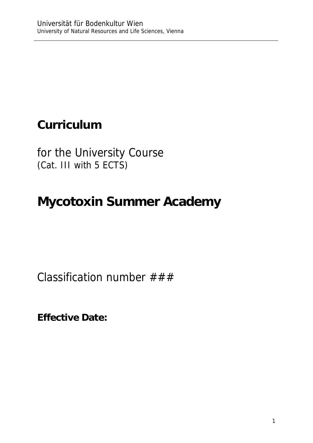## **Curriculum**

for the University Course (Cat. III with 5 ECTS)

# **Mycotoxin Summer Academy**

Classification number  $\# \# \#$ 

**Effective Date:**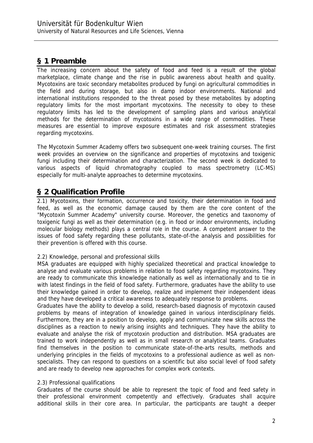## **§ 1 Preamble**

The increasing concern about the safety of food and feed is a result of the global marketplace, climate change and the rise in public awareness about health and quality. Mycotoxins are toxic secondary metabolites produced by fungi on agricultural commodities in the field and during storage, but also in damp indoor environments. National and international institutions responded to the threat posed by these metabolites by adopting regulatory limits for the most important mycotoxins. The necessity to obey to these regulatory limits has led to the development of sampling plans and various analytical methods for the determination of mycotoxins in a wide range of commodities. These measures are essential to improve exposure estimates and risk assessment strategies regarding mycotoxins.

The Mycotoxin Summer Academy offers two subsequent one-week training courses. The first week provides an overview on the significance and properties of mycotoxins and toxigenic fungi including their determination and characterization. The second week is dedicated to various aspects of liquid chromatography coupled to mass spectrometry (LC-MS) especially for multi-analyte approaches to determine mycotoxins.

### **§ 2 Qualification Profile**

2.1) Mycotoxins, their formation, occurrence and toxicity, their determination in food and feed, as well as the economic damage caused by them are the core content of the "Mycotoxin Summer Academy" university course. Moreover, the genetics and taxonomy of toxigenic fungi as well as their determination (e.g. in food or indoor environments, including molecular biology methods) plays a central role in the course. A competent answer to the issues of food safety regarding these pollutants, state-of-the analysis and possibilities for their prevention is offered with this course.

#### 2.2) Knowledge, personal and professional skills

MSA graduates are equipped with highly specialized theoretical and practical knowledge to analyse and evaluate various problems in relation to food safety regarding mycotoxins. They are ready to communicate this knowledge nationally as well as internationally and to tie in with latest findings in the field of food safety. Furthermore, graduates have the ability to use their knowledge gained in order to develop, realize and implement their independent ideas and they have developed a critical awareness to adequately response to problems.

Graduates have the ability to develop a solid, research-based diagnosis of mycotoxin caused problems by means of integration of knowledge gained in various interdisciplinary fields. Furthermore, they are in a position to develop, apply and communicate new skills across the disciplines as a reaction to newly arising insights and techniques. They have the ability to evaluate and analyse the risk of mycotoxin production and distribution. MSA graduates are trained to work independently as well as in small research or analytical teams. Graduates find themselves in the position to communicate state-of-the-arts results, methods and underlying principles in the fields of mycotoxins to a professional audience as well as nonspecialists. They can respond to questions on a scientific but also social level of food safety and are ready to develop new approaches for complex work contexts.

#### 2.3) Professional qualifications

Graduates of the course should be able to represent the topic of food and feed safety in their professional environment competently and effectively. Graduates shall acquire additional skills in their core area. In particular, the participants are taught a deeper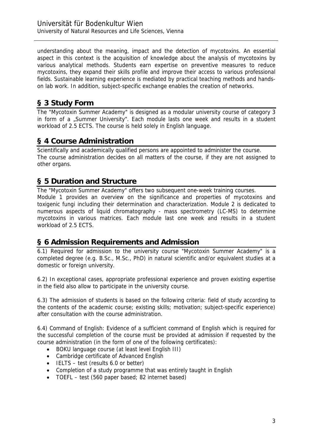understanding about the meaning, impact and the detection of mycotoxins. An essential aspect in this context is the acquisition of knowledge about the analysis of mycotoxins by various analytical methods. Students earn expertise on preventive measures to reduce mycotoxins, they expand their skills profile and improve their access to various professional fields. Sustainable learning experience is mediated by practical teaching methods and handson lab work. In addition, subject-specific exchange enables the creation of networks.

#### **§ 3 Study Form**

The "Mycotoxin Summer Academy" is designed as a modular university course of category 3 in form of a "Summer University". Each module lasts one week and results in a student workload of 2.5 ECTS. The course is held solely in English language.

#### **§ 4 Course Administration**

Scientifically and academically qualified persons are appointed to administer the course. The course administration decides on all matters of the course, if they are not assigned to other organs.

#### **§ 5 Duration and Structure**

The "Mycotoxin Summer Academy" offers two subsequent one-week training courses.

Module 1 provides an overview on the significance and properties of mycotoxins and toxigenic fungi including their determination and characterization. Module 2 is dedicated to numerous aspects of liquid chromatography - mass spectrometry (LC-MS) to determine mycotoxins in various matrices. Each module last one week and results in a student workload of 2.5 ECTS.

#### **§ 6 Admission Requirements and Admission**

6.1) Required for admission to the university course "Mycotoxin Summer Academy" is a completed degree (e.g. B.Sc., M.Sc., PhD) in natural scientific and/or equivalent studies at a domestic or foreign university.

6.2) In exceptional cases, appropriate professional experience and proven existing expertise in the field also allow to participate in the university course.

6.3) The admission of students is based on the following criteria: field of study according to the contents of the academic course; existing skills; motivation; subject-specific experience) after consultation with the course administration.

6.4) Command of English: Evidence of a sufficient command of English which is required for the successful completion of the course must be provided at admission if requested by the course administration (in the form of one of the following certificates):

- BOKU language course (at least level English III)
- Cambridge certificate of Advanced English
- $\bullet$  IELTS test (results 6.0 or better)
- Completion of a study programme that was entirely taught in English
- TOEFL test (560 paper based; 82 internet based)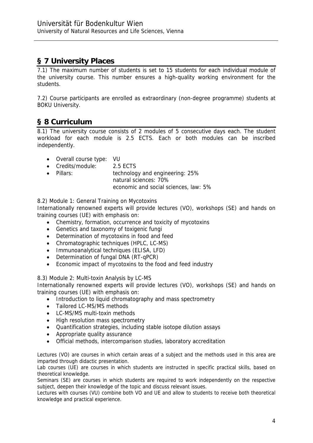## **§ 7 University Places**

7.1) The maximum number of students is set to 15 students for each individual module of the university course. This number ensures a high-quality working environment for the students.

7.2) Course participants are enrolled as extraordinary (non-degree programme) students at BOKU University.

#### **§ 8 Curriculum**

8.1) The university course consists of 2 modules of 5 consecutive days each. The student workload for each module is 2.5 ECTS. Each or both modules can be inscribed independently.

- Overall course type: VU
- Credits/module: 2.5 ECTS
- Pillars: technology and engineering: 25%

natural sciences: 70%

economic and social sciences, law: 5%

8.2) Module 1: General Training on Mycotoxins

Internationally renowned experts will provide lectures (VO), workshops (SE) and hands on training courses (UE) with emphasis on:

- Chemistry, formation, occurrence and toxicity of mycotoxins
- Genetics and taxonomy of toxigenic fungi
- Determination of mycotoxins in food and feed
- Chromatographic techniques (HPLC, LC-MS)
- Immunoanalytical techniques (ELISA, LFD)
- Determination of fungal DNA (RT-qPCR)
- Economic impact of mycotoxins to the food and feed industry

#### 8.3) Module 2: Multi-toxin Analysis by LC-MS

Internationally renowned experts will provide lectures (VO), workshops (SE) and hands on training courses (UE) with emphasis on:

- Introduction to liquid chromatography and mass spectrometry
- Tailored LC-MS/MS methods
- LC-MS/MS multi-toxin methods
- High resolution mass spectrometry
- Quantification strategies, including stable isotope dilution assays
- Appropriate quality assurance
- Official methods, intercomparison studies, laboratory accreditation

Lectures (VO) are courses in which certain areas of a subject and the methods used in this area are imparted through didactic presentation.

Lab courses (UE) are courses in which students are instructed in specific practical skills, based on theoretical knowledge.

Seminars (SE) are courses in which students are required to work independently on the respective subject, deepen their knowledge of the topic and discuss relevant issues.

Lectures with courses (VU) combine both VO and UE and allow to students to receive both theoretical knowledge and practical experience.